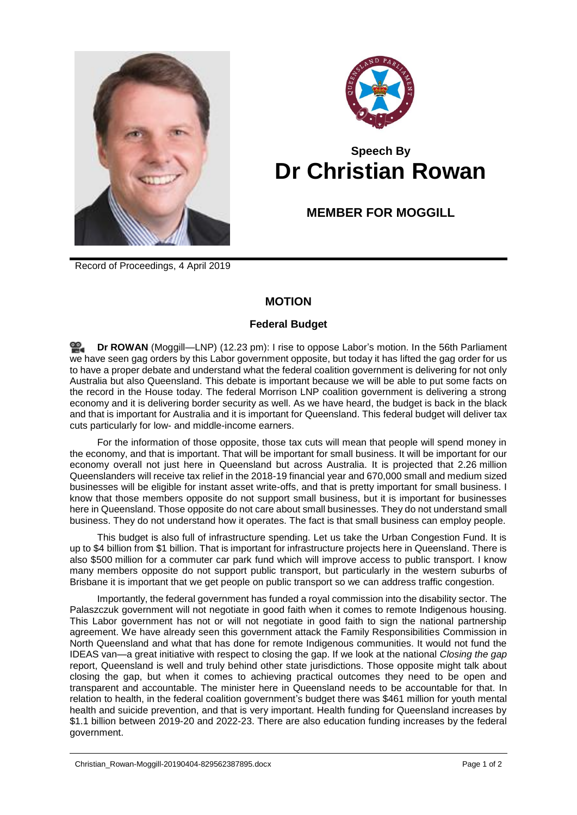



## **Speech By Dr Christian Rowan**

## **MEMBER FOR MOGGILL**

Record of Proceedings, 4 April 2019

## **MOTION**

## **Federal Budget**

**Dr [ROWAN](http://www.parliament.qld.gov.au/docs/find.aspx?id=0Mba20190404_122342)** (Moggill—LNP) (12.23 pm): I rise to oppose Labor's motion. In the 56th Parliament we have seen gag orders by this Labor government opposite, but today it has lifted the gag order for us to have a proper debate and understand what the federal coalition government is delivering for not only Australia but also Queensland. This debate is important because we will be able to put some facts on the record in the House today. The federal Morrison LNP coalition government is delivering a strong economy and it is delivering border security as well. As we have heard, the budget is back in the black and that is important for Australia and it is important for Queensland. This federal budget will deliver tax cuts particularly for low- and middle-income earners.

For the information of those opposite, those tax cuts will mean that people will spend money in the economy, and that is important. That will be important for small business. It will be important for our economy overall not just here in Queensland but across Australia. It is projected that 2.26 million Queenslanders will receive tax relief in the 2018-19 financial year and 670,000 small and medium sized businesses will be eligible for instant asset write-offs, and that is pretty important for small business. I know that those members opposite do not support small business, but it is important for businesses here in Queensland. Those opposite do not care about small businesses. They do not understand small business. They do not understand how it operates. The fact is that small business can employ people.

This budget is also full of infrastructure spending. Let us take the Urban Congestion Fund. It is up to \$4 billion from \$1 billion. That is important for infrastructure projects here in Queensland. There is also \$500 million for a commuter car park fund which will improve access to public transport. I know many members opposite do not support public transport, but particularly in the western suburbs of Brisbane it is important that we get people on public transport so we can address traffic congestion.

Importantly, the federal government has funded a royal commission into the disability sector. The Palaszczuk government will not negotiate in good faith when it comes to remote Indigenous housing. This Labor government has not or will not negotiate in good faith to sign the national partnership agreement. We have already seen this government attack the Family Responsibilities Commission in North Queensland and what that has done for remote Indigenous communities. It would not fund the IDEAS van—a great initiative with respect to closing the gap. If we look at the national *Closing the gap* report, Queensland is well and truly behind other state jurisdictions. Those opposite might talk about closing the gap, but when it comes to achieving practical outcomes they need to be open and transparent and accountable. The minister here in Queensland needs to be accountable for that. In relation to health, in the federal coalition government's budget there was \$461 million for youth mental health and suicide prevention, and that is very important. Health funding for Queensland increases by \$1.1 billion between 2019-20 and 2022-23. There are also education funding increases by the federal government.